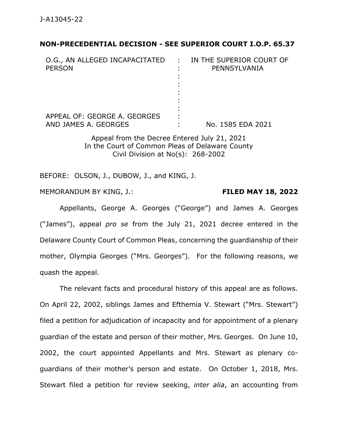#### **NON-PRECEDENTIAL DECISION - SEE SUPERIOR COURT I.O.P. 65.37**

| O.G., AN ALLEGED INCAPACITATED<br><b>PERSON</b>      | $\mathcal{L}^{\text{max}}$ | IN THE SUPERIOR COURT OF<br>PENNSYLVANIA |
|------------------------------------------------------|----------------------------|------------------------------------------|
| APPEAL OF: GEORGE A. GEORGES<br>AND JAMES A. GEORGES |                            | No. 1585 EDA 2021                        |

Appeal from the Decree Entered July 21, 2021 In the Court of Common Pleas of Delaware County Civil Division at No(s): 268-2002

BEFORE: OLSON, J., DUBOW, J., and KING, J.

MEMORANDUM BY KING, J.: **FILED MAY 18, 2022**

Appellants, George A. Georges ("George") and James A. Georges ("James"), appeal *pro se* from the July 21, 2021 decree entered in the Delaware County Court of Common Pleas, concerning the guardianship of their mother, Olympia Georges ("Mrs. Georges"). For the following reasons, we quash the appeal.

The relevant facts and procedural history of this appeal are as follows. On April 22, 2002, siblings James and Efthemia V. Stewart ("Mrs. Stewart") filed a petition for adjudication of incapacity and for appointment of a plenary guardian of the estate and person of their mother, Mrs. Georges. On June 10, 2002, the court appointed Appellants and Mrs. Stewart as plenary coguardians of their mother's person and estate. On October 1, 2018, Mrs. Stewart filed a petition for review seeking, *inter alia*, an accounting from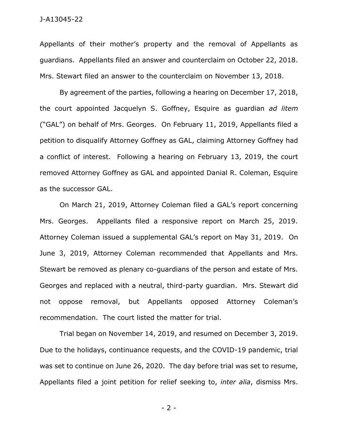#### J-A13045-22

Appellants of their mother's property and the removal of Appellants as guardians. Appellants filed an answer and counterclaim on October 22, 2018. Mrs. Stewart filed an answer to the counterclaim on November 13, 2018.

By agreement of the parties, following a hearing on December 17, 2018, the court appointed Jacquelyn S. Goffney, Esquire as guardian *ad litem* ("GAL") on behalf of Mrs. Georges. On February 11, 2019, Appellants filed a petition to disqualify Attorney Goffney as GAL, claiming Attorney Goffney had a conflict of interest. Following a hearing on February 13, 2019, the court removed Attorney Goffney as GAL and appointed Danial R. Coleman, Esquire as the successor GAL.

On March 21, 2019, Attorney Coleman filed a GAL's report concerning Mrs. Georges. Appellants filed a responsive report on March 25, 2019. Attorney Coleman issued a supplemental GAL's report on May 31, 2019. On June 3, 2019, Attorney Coleman recommended that Appellants and Mrs. Stewart be removed as plenary co-guardians of the person and estate of Mrs. Georges and replaced with a neutral, third-party guardian. Mrs. Stewart did not oppose removal, but Appellants opposed Attorney Coleman's recommendation. The court listed the matter for trial.

Trial began on November 14, 2019, and resumed on December 3, 2019. Due to the holidays, continuance requests, and the COVID-19 pandemic, trial was set to continue on June 26, 2020. The day before trial was set to resume, Appellants filed a joint petition for relief seeking to, *inter alia*, dismiss Mrs.

- 2 -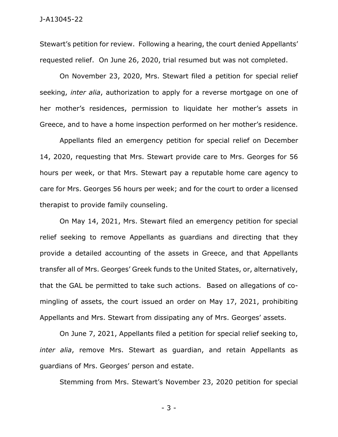Stewart's petition for review. Following a hearing, the court denied Appellants' requested relief. On June 26, 2020, trial resumed but was not completed.

On November 23, 2020, Mrs. Stewart filed a petition for special relief seeking, *inter alia*, authorization to apply for a reverse mortgage on one of her mother's residences, permission to liquidate her mother's assets in Greece, and to have a home inspection performed on her mother's residence.

Appellants filed an emergency petition for special relief on December 14, 2020, requesting that Mrs. Stewart provide care to Mrs. Georges for 56 hours per week, or that Mrs. Stewart pay a reputable home care agency to care for Mrs. Georges 56 hours per week; and for the court to order a licensed therapist to provide family counseling.

On May 14, 2021, Mrs. Stewart filed an emergency petition for special relief seeking to remove Appellants as guardians and directing that they provide a detailed accounting of the assets in Greece, and that Appellants transfer all of Mrs. Georges' Greek funds to the United States, or, alternatively, that the GAL be permitted to take such actions. Based on allegations of comingling of assets, the court issued an order on May 17, 2021, prohibiting Appellants and Mrs. Stewart from dissipating any of Mrs. Georges' assets.

On June 7, 2021, Appellants filed a petition for special relief seeking to, *inter alia*, remove Mrs. Stewart as guardian, and retain Appellants as guardians of Mrs. Georges' person and estate.

Stemming from Mrs. Stewart's November 23, 2020 petition for special

- 3 -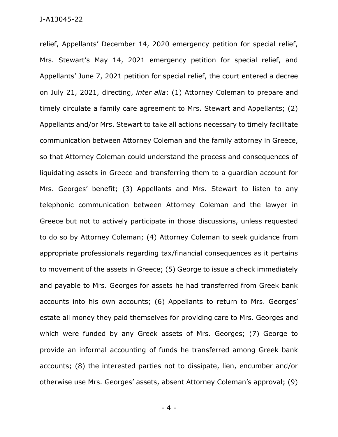relief, Appellants' December 14, 2020 emergency petition for special relief, Mrs. Stewart's May 14, 2021 emergency petition for special relief, and Appellants' June 7, 2021 petition for special relief, the court entered a decree on July 21, 2021, directing, *inter alia*: (1) Attorney Coleman to prepare and timely circulate a family care agreement to Mrs. Stewart and Appellants; (2) Appellants and/or Mrs. Stewart to take all actions necessary to timely facilitate communication between Attorney Coleman and the family attorney in Greece, so that Attorney Coleman could understand the process and consequences of liquidating assets in Greece and transferring them to a guardian account for Mrs. Georges' benefit; (3) Appellants and Mrs. Stewart to listen to any telephonic communication between Attorney Coleman and the lawyer in Greece but not to actively participate in those discussions, unless requested to do so by Attorney Coleman; (4) Attorney Coleman to seek guidance from appropriate professionals regarding tax/financial consequences as it pertains to movement of the assets in Greece; (5) George to issue a check immediately and payable to Mrs. Georges for assets he had transferred from Greek bank accounts into his own accounts; (6) Appellants to return to Mrs. Georges' estate all money they paid themselves for providing care to Mrs. Georges and which were funded by any Greek assets of Mrs. Georges; (7) George to provide an informal accounting of funds he transferred among Greek bank accounts; (8) the interested parties not to dissipate, lien, encumber and/or otherwise use Mrs. Georges' assets, absent Attorney Coleman's approval; (9)

- 4 -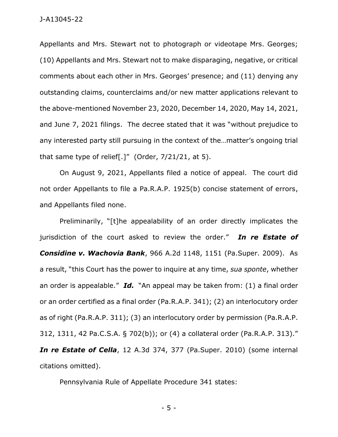Appellants and Mrs. Stewart not to photograph or videotape Mrs. Georges; (10) Appellants and Mrs. Stewart not to make disparaging, negative, or critical comments about each other in Mrs. Georges' presence; and (11) denying any outstanding claims, counterclaims and/or new matter applications relevant to the above-mentioned November 23, 2020, December 14, 2020, May 14, 2021, and June 7, 2021 filings. The decree stated that it was "without prejudice to any interested party still pursuing in the context of the…matter's ongoing trial that same type of relief[.]" (Order,  $7/21/21$ , at 5).

On August 9, 2021, Appellants filed a notice of appeal. The court did not order Appellants to file a Pa.R.A.P. 1925(b) concise statement of errors, and Appellants filed none.

Preliminarily, "[t]he appealability of an order directly implicates the jurisdiction of the court asked to review the order." *In re Estate of Considine v. Wachovia Bank*, 966 A.2d 1148, 1151 (Pa.Super. 2009). As a result, "this Court has the power to inquire at any time, *sua sponte*, whether an order is appealable." *Id.* "An appeal may be taken from: (1) a final order or an order certified as a final order (Pa.R.A.P. 341); (2) an interlocutory order as of right (Pa.R.A.P. 311); (3) an interlocutory order by permission (Pa.R.A.P. 312, 1311, 42 Pa.C.S.A. § 702(b)); or (4) a collateral order (Pa.R.A.P. 313)." *In re Estate of Cella*, 12 A.3d 374, 377 (Pa.Super. 2010) (some internal citations omitted).

Pennsylvania Rule of Appellate Procedure 341 states:

- 5 -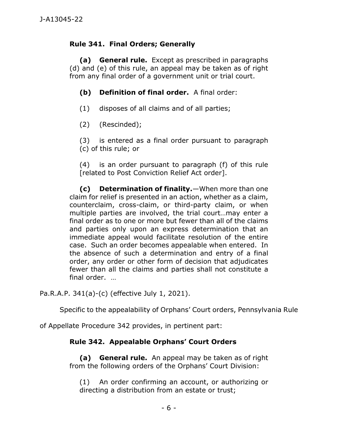## **Rule 341. Final Orders; Generally**

**(a) General rule.** Except as prescribed in paragraphs (d) and (e) of this rule, an appeal may be taken as of right from any final order of a government unit or trial court.

## **(b) Definition of final order.** A final order:

- (1) disposes of all claims and of all parties;
- (2) (Rescinded);
- (3) is entered as a final order pursuant to paragraph (c) of this rule; or

(4) is an order pursuant to paragraph (f) of this rule [related to Post Conviction Relief Act order].

**(c) Determination of finality.**—When more than one claim for relief is presented in an action, whether as a claim, counterclaim, cross-claim, or third-party claim, or when multiple parties are involved, the trial court…may enter a final order as to one or more but fewer than all of the claims and parties only upon an express determination that an immediate appeal would facilitate resolution of the entire case. Such an order becomes appealable when entered. In the absence of such a determination and entry of a final order, any order or other form of decision that adjudicates fewer than all the claims and parties shall not constitute a final order. …

Pa.R.A.P. 341(a)-(c) (effective July 1, 2021).

Specific to the appealability of Orphans' Court orders, Pennsylvania Rule

of Appellate Procedure 342 provides, in pertinent part:

# **Rule 342. Appealable Orphans' Court Orders**

**(a) General rule.** An appeal may be taken as of right from the following orders of the Orphans' Court Division:

(1) An order confirming an account, or authorizing or directing a distribution from an estate or trust;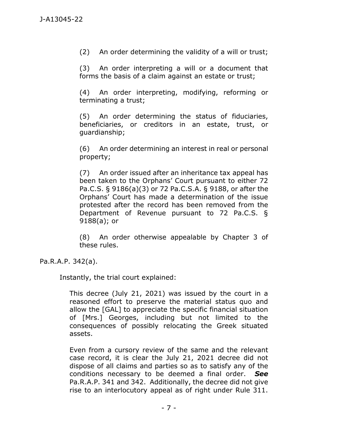(2) An order determining the validity of a will or trust;

(3) An order interpreting a will or a document that forms the basis of a claim against an estate or trust;

(4) An order interpreting, modifying, reforming or terminating a trust;

(5) An order determining the status of fiduciaries, beneficiaries, or creditors in an estate, trust, or guardianship;

(6) An order determining an interest in real or personal property;

(7) An order issued after an inheritance tax appeal has been taken to the Orphans' Court pursuant to either 72 Pa.C.S. § 9186(a)(3) or 72 Pa.C.S.A. § 9188, or after the Orphans' Court has made a determination of the issue protested after the record has been removed from the Department of Revenue pursuant to 72 Pa.C.S. § 9188(a); or

(8) An order otherwise appealable by Chapter 3 of these rules.

Pa.R.A.P. 342(a).

Instantly, the trial court explained:

This decree (July 21, 2021) was issued by the court in a reasoned effort to preserve the material status quo and allow the [GAL] to appreciate the specific financial situation of [Mrs.] Georges, including but not limited to the consequences of possibly relocating the Greek situated assets.

Even from a cursory review of the same and the relevant case record, it is clear the July 21, 2021 decree did not dispose of all claims and parties so as to satisfy any of the conditions necessary to be deemed a final order. *See* Pa.R.A.P. 341 and 342. Additionally, the decree did not give rise to an interlocutory appeal as of right under Rule 311.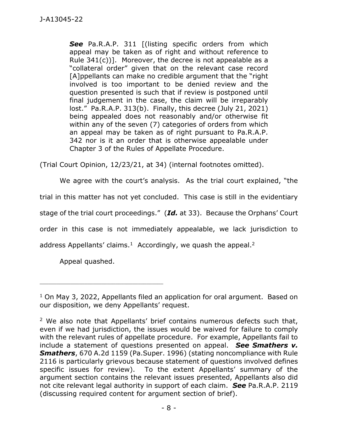**See** Pa.R.A.P. 311 [(listing specific orders from which appeal may be taken as of right and without reference to Rule 341(c))]. Moreover, the decree is not appealable as a "collateral order" given that on the relevant case record [A]ppellants can make no credible argument that the "right" involved is too important to be denied review and the question presented is such that if review is postponed until final judgement in the case, the claim will be irreparably lost." Pa.R.A.P. 313(b). Finally, this decree (July 21, 2021) being appealed does not reasonably and/or otherwise fit within any of the seven (7) categories of orders from which an appeal may be taken as of right pursuant to Pa.R.A.P. 342 nor is it an order that is otherwise appealable under Chapter 3 of the Rules of Appellate Procedure.

(Trial Court Opinion, 12/23/21, at 34) (internal footnotes omitted).

We agree with the court's analysis. As the trial court explained, "the

trial in this matter has not yet concluded. This case is still in the evidentiary

stage of the trial court proceedings." (*Id.* at 33). Because the Orphans' Court

order in this case is not immediately appealable, we lack jurisdiction to

address Appellants' claims.<sup>1</sup> Accordingly, we quash the appeal.<sup>2</sup>

Appeal quashed.

\_\_\_\_\_\_\_\_\_\_\_\_\_\_\_\_\_\_\_\_\_\_\_\_\_\_\_\_\_\_\_\_\_\_\_\_\_\_\_\_\_\_\_\_

<sup>&</sup>lt;sup>1</sup> On May 3, 2022, Appellants filed an application for oral argument. Based on our disposition, we deny Appellants' request.

<sup>&</sup>lt;sup>2</sup> We also note that Appellants' brief contains numerous defects such that, even if we had jurisdiction, the issues would be waived for failure to comply with the relevant rules of appellate procedure. For example, Appellants fail to include a statement of questions presented on appeal. *See Smathers v. Smathers*, 670 A.2d 1159 (Pa.Super. 1996) (stating noncompliance with Rule 2116 is particularly grievous because statement of questions involved defines specific issues for review). To the extent Appellants' summary of the argument section contains the relevant issues presented, Appellants also did not cite relevant legal authority in support of each claim. *See* Pa.R.A.P. 2119 (discussing required content for argument section of brief).